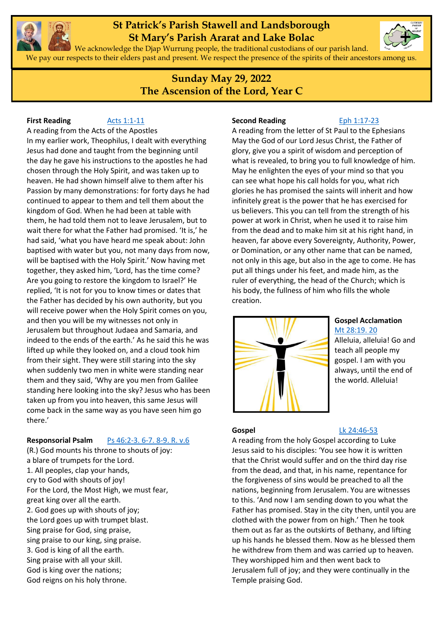

## **St Patrick's Parish Stawell and Landsborough St Mary's Parish Ararat and Lake Bolac**



We acknowledge the Djap Wurrung people, the traditional custodians of our parish land. We pay our respects to their elders past and present. We respect the presence of the spirits of their ancestors among us.

> **Sunday May 29, 2022 The Ascension of the Lord, Year C**

**First Reading [Acts 1:1-11](https://www.liturgyhelp.com/ritual/lectionary/LectionaryList%7Cact#act001)** 

A reading from the Acts of the Apostles In my earlier work, Theophilus, I dealt with everything Jesus had done and taught from the beginning until the day he gave his instructions to the apostles he had chosen through the Holy Spirit, and was taken up to heaven. He had shown himself alive to them after his Passion by many demonstrations: for forty days he had continued to appear to them and tell them about the kingdom of God. When he had been at table with them, he had told them not to leave Jerusalem, but to wait there for what the Father had promised. 'It is,' he had said, 'what you have heard me speak about: John baptised with water but you, not many days from now, will be baptised with the Holy Spirit.' Now having met together, they asked him, 'Lord, has the time come? Are you going to restore the kingdom to Israel?' He replied, 'It is not for you to know times or dates that the Father has decided by his own authority, but you will receive power when the Holy Spirit comes on you, and then you will be my witnesses not only in Jerusalem but throughout Judaea and Samaria, and indeed to the ends of the earth.' As he said this he was lifted up while they looked on, and a cloud took him from their sight. They were still staring into the sky when suddenly two men in white were standing near them and they said, 'Why are you men from Galilee standing here looking into the sky? Jesus who has been taken up from you into heaven, this same Jesus will come back in the same way as you have seen him go there.'

### **Responsorial Psalm** [Ps 46:2-3. 6-7. 8-9. R. v.6](https://www.liturgyhelp.com/ritual/lectionary/LectionaryListPsalm%7Cpsm)

(R.) God mounts his throne to shouts of joy: a blare of trumpets for the Lord. 1. All peoples, clap your hands, cry to God with shouts of joy! For the Lord, the Most High, we must fear, great king over all the earth. 2. God goes up with shouts of joy; the Lord goes up with trumpet blast. Sing praise for God, sing praise, sing praise to our king, sing praise. 3. God is king of all the earth. Sing praise with all your skill. God is king over the nations; God reigns on his holy throne.

#### **Second Reading** [Eph 1:17-23](https://www.liturgyhelp.com/ritual/lectionary/LectionaryList%7Ceph#eph001)

A reading from the letter of St Paul to the Ephesians May the God of our Lord Jesus Christ, the Father of glory, give you a spirit of wisdom and perception of what is revealed, to bring you to full knowledge of him. May he enlighten the eyes of your mind so that you can see what hope his call holds for you, what rich glories he has promised the saints will inherit and how infinitely great is the power that he has exercised for us believers. This you can tell from the strength of his power at work in Christ, when he used it to raise him from the dead and to make him sit at his right hand, in heaven, far above every Sovereignty, Authority, Power, or Domination, or any other name that can be named, not only in this age, but also in the age to come. He has put all things under his feet, and made him, as the ruler of everything, the head of the Church; which is his body, the fullness of him who fills the whole creation.



#### **Gospel Acclamation** [Mt 28:19. 20](https://www.liturgyhelp.com/ritual/lectionary/LectionaryListGosAc%7Cmtw#mtw028)

Alleluia, alleluia! Go and teach all people my gospel. I am with you always, until the end of the world. Alleluia!

### **Gospel** [Lk 24:46-53](https://www.liturgyhelp.com/ritual/lectionary/LectionaryList%7Cluk#luk024)

A reading from the holy Gospel according to Luke Jesus said to his disciples: 'You see how it is written that the Christ would suffer and on the third day rise from the dead, and that, in his name, repentance for the forgiveness of sins would be preached to all the nations, beginning from Jerusalem. You are witnesses to this. 'And now I am sending down to you what the Father has promised. Stay in the city then, until you are clothed with the power from on high.' Then he took them out as far as the outskirts of Bethany, and lifting up his hands he blessed them. Now as he blessed them he withdrew from them and was carried up to heaven. They worshipped him and then went back to Jerusalem full of joy; and they were continually in the Temple praising God.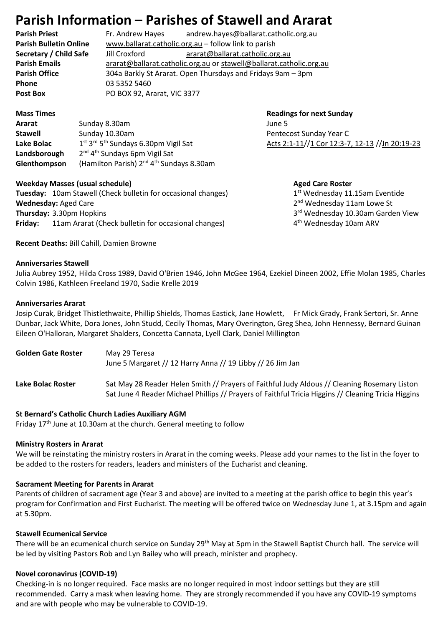# **Parish Information – Parishes of Stawell and Ararat**

**Phone** 03 5352 5460 Post Box **PO BOX 92, Ararat, VIC 3377** 

**Parish Priest** Fr. Andrew Hayes andrew.hayes@ballarat.catholic.org.au **Parish Bulletin Online** [www.ballarat.catholic.org.au](http://www.ballarat.catholic.org.au/) – follow link to parish **Secretary / Child Safe** Jill Croxford [ararat@ballarat.catholic.org.au](mailto:ararat@ballarat.catholic.org.au) **Parish Emails** [ararat@ballarat.catholic.org.au](mailto:ararat@ballarat.catholic.org.au) or [stawell@ballarat.catholic.org.au](mailto:stawell@ballarat.catholic.org.au) **Parish Office** 304a Barkly St Ararat. Open Thursdays and Fridays 9am – 3pm

| Ararat       | Sunday 8.30am                                                            | June 5  |
|--------------|--------------------------------------------------------------------------|---------|
| Stawell      | Sunday 10.30am                                                           | Pentec  |
| Lake Bolac   | 1 <sup>st</sup> 3 <sup>rd</sup> 5 <sup>th</sup> Sundays 6.30pm Vigil Sat | Acts 2: |
| Landsborough | 2 <sup>nd</sup> 4 <sup>th</sup> Sundays 6pm Vigil Sat                    |         |
| Glenthompson | (Hamilton Parish) 2 <sup>nd</sup> 4 <sup>th</sup> Sundays 8.30am         |         |

#### **Weekday Masses (usual schedule)** Masses (usual schedule) Aged Care Roster

**Tuesday:** 10am Stawell (Check bulletin for occasional changes) 1 **Wednesday: Aged Care Thursday: 3.30pm Hopkins Friday:** 11am Ararat (Check bulletin for occasional changes) 4

**Mass Times Construction Construction Construction Construction Construction Construction Construction Construction Construction Construction Construction Construction Construction Construction Construction Construction** Pentecost Sunday Year C [Acts 2:1-11/](https://www.liturgyhelp.com/ritual/lectionary/LectionaryList%7Cact#act002)[/1 Cor 12:3-7, 12-13](https://www.liturgyhelp.com/ritual/lectionary/LectionaryList%7Cco1#co1012) //Jn 20:19-23

 $1<sup>st</sup>$  Wednesday 11.15am Eventide 2<sup>nd</sup> Wednesday 11am Lowe St 3rd Wednesday 10.30am Garden View 4<sup>th</sup> Wednesday 10am ARV

**Recent Deaths:** Bill Cahill, Damien Browne

#### **Anniversaries Stawell**

Julia Aubrey 1952, Hilda Cross 1989, David O'Brien 1946, John McGee 1964, Ezekiel Dineen 2002, Effie Molan 1985, Charles Colvin 1986, Kathleen Freeland 1970, Sadie Krelle 2019

#### **Anniversaries Ararat**

Josip Curak, Bridget Thistlethwaite, Phillip Shields, Thomas Eastick, Jane Howlett, Fr Mick Grady, Frank Sertori, Sr. Anne Dunbar, Jack White, Dora Jones, John Studd, Cecily Thomas, Mary Overington, Greg Shea, John Hennessy, Bernard Guinan Eileen O'Halloran, Margaret Shalders, Concetta Cannata, Lyell Clark, Daniel Millington

| <b>Golden Gate Roster</b> | May 29 Teresa<br>June 5 Margaret // 12 Harry Anna // 19 Libby // 26 Jim Jan                                                                                                                         |
|---------------------------|-----------------------------------------------------------------------------------------------------------------------------------------------------------------------------------------------------|
| Lake Bolac Roster         | Sat May 28 Reader Helen Smith // Prayers of Faithful Judy Aldous // Cleaning Rosemary Liston<br>Sat June 4 Reader Michael Phillips // Prayers of Faithful Tricia Higgins // Cleaning Tricia Higgins |

#### **St Bernard's Catholic Church Ladies Auxiliary AGM**

Friday  $17<sup>th</sup>$  June at 10.30am at the church. General meeting to follow

### **Ministry Rosters in Ararat**

We will be reinstating the ministry rosters in Ararat in the coming weeks. Please add your names to the list in the foyer to be added to the rosters for readers, leaders and ministers of the Eucharist and cleaning.

### **Sacrament Meeting for Parents in Ararat**

Parents of children of sacrament age (Year 3 and above) are invited to a meeting at the parish office to begin this year's program for Confirmation and First Eucharist. The meeting will be offered twice on Wednesday June 1, at 3.15pm and again at 5.30pm.

### **Stawell Ecumenical Service**

There will be an ecumenical church service on Sunday 29<sup>th</sup> May at 5pm in the Stawell Baptist Church hall. The service will be led by visiting Pastors Rob and Lyn Bailey who will preach, minister and prophecy.

### **Novel coronavirus (COVID-19)**

Checking-in is no longer required. Face masks are no longer required in most indoor settings but they are still recommended. Carry a mask when leaving home. They are strongly recommended if you have any COVID-19 symptoms and are with people who may be vulnerable to COVID-19.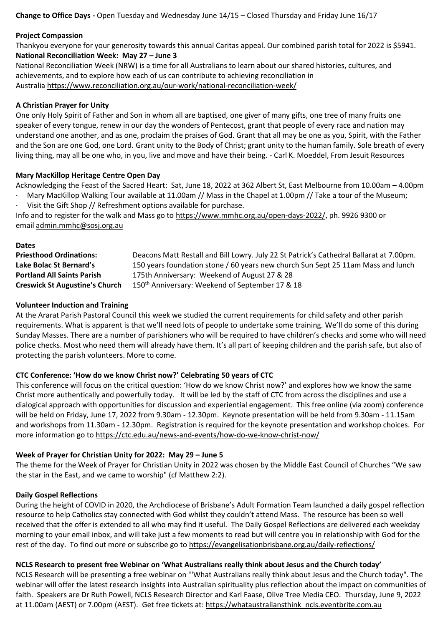**Change to Office Days -** Open Tuesday and Wednesday June 14/15 – Closed Thursday and Friday June 16/17

#### **Project Compassion**

Thankyou everyone for your generosity towards this annual Caritas appeal. Our combined parish total for 2022 is \$5941. **National Reconciliation Week: May 27 – June 3**

National Reconciliation Week (NRW) is a time for all Australians to learn about our shared histories, cultures, and achievements, and to explore how each of us can contribute to achieving reconciliation in Australia <https://www.reconciliation.org.au/our-work/national-reconciliation-week/>

#### **A Christian Prayer for Unity**

One only Holy Spirit of Father and Son in whom all are baptised, one giver of many gifts, one tree of many fruits one speaker of every tongue, renew in our day the wonders of Pentecost, grant that people of every race and nation may understand one another, and as one, proclaim the praises of God. Grant that all may be one as you, Spirit, with the Father and the Son are one God, one Lord. Grant unity to the Body of Christ; grant unity to the human family. Sole breath of every living thing, may all be one who, in you, live and move and have their being. - Carl K. Moeddel, From Jesuit Resources

#### **Mary MacKillop Heritage Centre Open Day**

Acknowledging the Feast of the Sacred Heart: Sat, June 18, 2022 at 362 Albert St, East Melbourne from 10.00am – 4.00pm · Mary MacKillop Walking Tour available at 11.00am // Mass in the Chapel at 1.00pm // Take a tour of the Museum;

Visit the Gift Shop // Refreshment options available for purchase.

Info and to register for the walk and Mass go to [https://www.mmhc.org.au/open-days-2022/,](https://www.mmhc.org.au/open-days-2022/) ph. 9926 9300 or email [admin.mmhc@sosj.org.au](mailto:admin.mmhc@sosj.org.au)

#### **Dates**

**Priesthood Ordinations:** Deacons Matt Restall and Bill Lowry. July 22 St Patrick's Cathedral Ballarat at 7.00pm. **Lake Bolac St Bernard's** 150 years foundation stone / 60 years new church Sun Sept 25 11am Mass and lunch **Portland All Saints Parish** 175th Anniversary: Weekend of August 27 & 28 **Creswick St Augustine's Church** 150th Anniversary: Weekend of September 17 & 18

#### **Volunteer Induction and Training**

At the Ararat Parish Pastoral Council this week we studied the current requirements for child safety and other parish requirements. What is apparent is that we'll need lots of people to undertake some training. We'll do some of this during Sunday Masses. There are a number of parishioners who will be required to have children's checks and some who will need police checks. Most who need them will already have them. It's all part of keeping children and the parish safe, but also of protecting the parish volunteers. More to come.

#### **CTC Conference: 'How do we know Christ now?' Celebrating 50 years of CTC**

This conference will focus on the critical question: 'How do we know Christ now?' and explores how we know the same Christ more authentically and powerfully today. It will be led by the staff of CTC from across the disciplines and use a dialogical approach with opportunities for discussion and experiential engagement. This free online (via zoom) conference will be held on Friday, June 17, 2022 from 9.30am - 12.30pm. Keynote presentation will be held from 9.30am - 11.15am and workshops from 11.30am - 12.30pm. Registration is required for the keynote presentation and workshop choices. For more information go to <https://ctc.edu.au/news-and-events/how-do-we-know-christ-now/>

### **Week of Prayer for Christian Unity for 2022: May 29 – June 5**

The theme for the Week of Prayer for Christian Unity in 2022 was chosen by the Middle East Council of Churches "We saw the star in the East, and we came to worship" (cf Matthew 2:2).

#### **Daily Gospel Reflections**

During the height of COVID in 2020, the Archdiocese of Brisbane's Adult Formation Team launched a daily gospel reflection resource to help Catholics stay connected with God whilst they couldn't attend Mass. The resource has been so well received that the offer is extended to all who may find it useful. The Daily Gospel Reflections are delivered each weekday morning to your email inbox, and will take just a few moments to read but will centre you in relationship with God for the rest of the day. To find out more or subscribe go to <https://evangelisationbrisbane.org.au/daily-reflections/>

### **NCLS Research to present free Webinar on 'What Australians really think about Jesus and the Church today'**

NCLS Research will be presenting a free webinar on '"What Australians really think about Jesus and the Church today". The webinar will offer the latest research insights into Australian spirituality plus reflection about the impact on communities of faith. Speakers are Dr Ruth Powell, NCLS Research Director and Karl Faase, Olive Tree Media CEO. Thursday, June 9, 2022 at 11.00am (AEST) or 7.00pm (AEST). Get free tickets at: [https://whataustraliansthink\\_ncls.eventbrite.com.au](https://whataustraliansthink_ncls.eventbrite.com.au/)